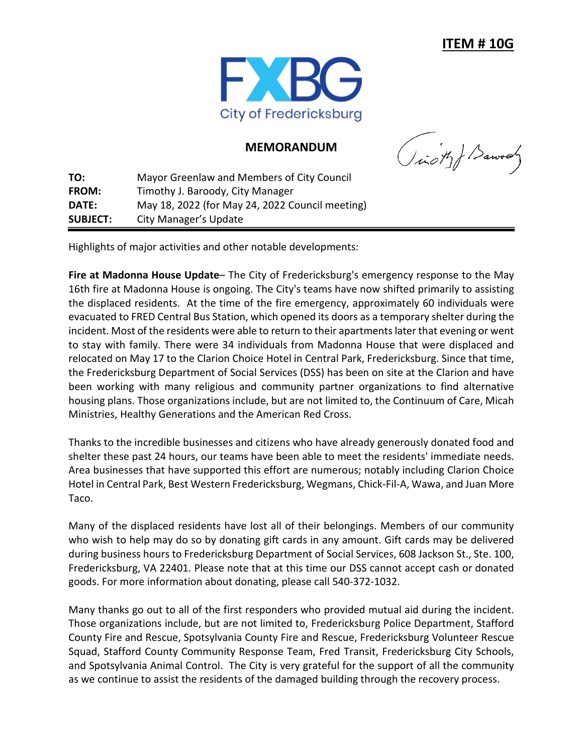

## **MEMORANDUM**

(ion) Barrows

**TO:** Mayor Greenlaw and Members of City Council **FROM:** Timothy J. Baroody, City Manager **DATE:** May 18, 2022 (for May 24, 2022 Council meeting) **SUBJECT:** City Manager's Update

Highlights of major activities and other notable developments:

**Fire at Madonna House Update**– The City of Fredericksburg's emergency response to the May 16th fire at Madonna House is ongoing. The City's teams have now shifted primarily to assisting the displaced residents. At the time of the fire emergency, approximately 60 individuals were evacuated to FRED Central Bus Station, which opened its doors as a temporary shelter during the incident. Most of the residents were able to return to their apartments later that evening or went to stay with family. There were 34 individuals from Madonna House that were displaced and relocated on May 17 to the Clarion Choice Hotel in Central Park, Fredericksburg. Since that time, the Fredericksburg Department of Social Services (DSS) has been on site at the Clarion and have been working with many religious and community partner organizations to find alternative housing plans. Those organizations include, but are not limited to, the Continuum of Care, Micah Ministries, Healthy Generations and the American Red Cross.

Thanks to the incredible businesses and citizens who have already generously donated food and shelter these past 24 hours, our teams have been able to meet the residents' immediate needs. Area businesses that have supported this effort are numerous; notably including Clarion Choice Hotel in Central Park, Best Western Fredericksburg, Wegmans, Chick-Fil-A, Wawa, and Juan More Taco.

Many of the displaced residents have lost all of their belongings. Members of our community who wish to help may do so by donating gift cards in any amount. Gift cards may be delivered during business hours to Fredericksburg Department of Social Services, 608 Jackson St., Ste. 100, Fredericksburg, VA 22401. Please note that at this time our DSS cannot accept cash or donated goods. For more information about donating, please call 540-372-1032.

Many thanks go out to all of the first responders who provided mutual aid during the incident. Those organizations include, but are not limited to, Fredericksburg Police Department, Stafford County Fire and Rescue, Spotsylvania County Fire and Rescue, Fredericksburg Volunteer Rescue Squad, Stafford County Community Response Team, Fred Transit, Fredericksburg City Schools, and Spotsylvania Animal Control. The City is very grateful for the support of all the community as we continue to assist the residents of the damaged building through the recovery process.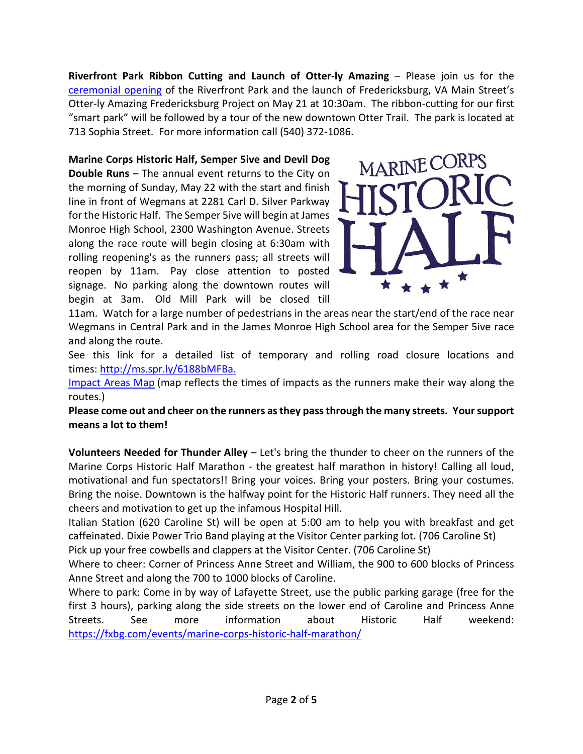**Riverfront Park Ribbon Cutting and Launch of Otter-ly Amazing – Please join us for the** [ceremonial opening](http://www.fredericksburgva.gov/DocumentCenter/View/21291/Riverfront-Park-Ribbon-Cutting-Invite?bidId=) of the Riverfront Park and the launch of Fredericksburg, VA Main Street's Otter-ly Amazing Fredericksburg Project on May 21 at 10:30am. The ribbon-cutting for our first "smart park" will be followed by a tour of the new downtown Otter Trail. The park is located at 713 Sophia Street. For more information call (540) 372-1086.

**Marine Corps Historic Half, Semper 5ive and Devil Dog Double Runs** – The annual event returns to the City on the morning of Sunday, May 22 with the start and finish line in front of Wegmans at 2281 Carl D. Silver Parkway for the Historic Half. The Semper 5ive will begin at James Monroe High School, 2300 Washington Avenue. Streets along the race route will begin closing at 6:30am with rolling reopening's as the runners pass; all streets will reopen by 11am. Pay close attention to posted signage. No parking along the downtown routes will begin at 3am. Old Mill Park will be closed till

MARINE CORPS

11am. Watch for a large number of pedestrians in the areas near the start/end of the race near Wegmans in Central Park and in the James Monroe High School area for the Semper 5ive race and along the route.

See this link for a detailed list of temporary and rolling road closure locations and times: <http://ms.spr.ly/6188bMFBa.>

[Impact Areas Map](https://s3.amazonaws.com/mcmlive/ImpactAreaMap-24-x18-2022.pdf) (map reflects the times of impacts as the runners make their way along the routes.)

**Please come out and cheer on the runners as they pass through the many streets. Your support means a lot to them!**

**Volunteers Needed for Thunder Alley** – Let's bring the thunder to cheer on the runners of the Marine Corps Historic Half Marathon - the greatest half marathon in history! Calling all loud, motivational and fun spectators!! Bring your voices. Bring your posters. Bring your costumes. Bring the noise. Downtown is the halfway point for the Historic Half runners. They need all the cheers and motivation to get up the infamous Hospital Hill.

Italian Station (620 Caroline St) will be open at 5:00 am to help you with breakfast and get caffeinated. Dixie Power Trio Band playing at the Visitor Center parking lot. (706 Caroline St)

Pick up your free cowbells and clappers at the Visitor Center. (706 Caroline St)

Where to cheer: Corner of Princess Anne Street and William, the 900 to 600 blocks of Princess Anne Street and along the 700 to 1000 blocks of Caroline.

Where to park: Come in by way of Lafayette Street, use the public parking garage (free for the first 3 hours), parking along the side streets on the lower end of Caroline and Princess Anne Streets. See more information about Historic Half weekend: [https://fxbg.com/events/marine-corps-historic-half-marathon/](https://fxbg.com/events/marine-corps-historic-half-marathon/?fbclid=IwAR0KCQhJcR5FMEFSzv_Y3KEx_MOCMxzXdTZOH7cnROBiJ9D7GBRPOVzaWcw)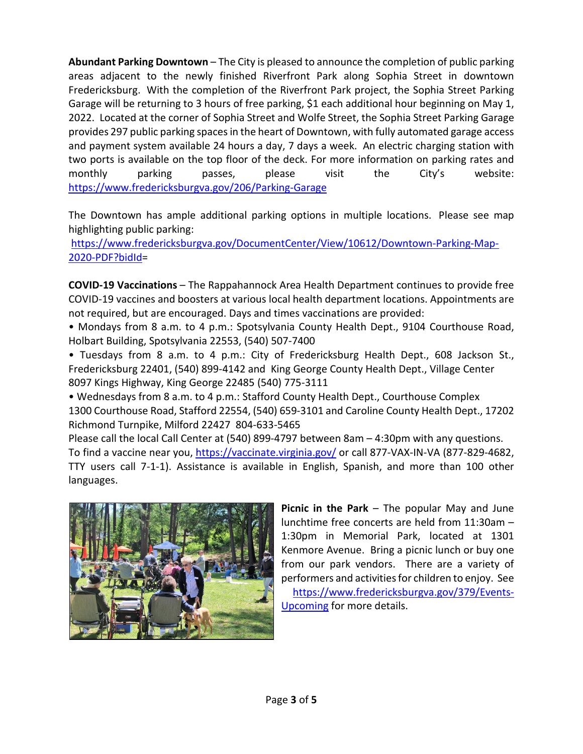**Abundant Parking Downtown** – The City is pleased to announce the completion of public parking areas adjacent to the newly finished Riverfront Park along Sophia Street in downtown Fredericksburg. With the completion of the Riverfront Park project, the Sophia Street Parking Garage will be returning to 3 hours of free parking, \$1 each additional hour beginning on May 1, 2022. Located at the corner of Sophia Street and Wolfe Street, the Sophia Street Parking Garage provides 297 public parking spaces in the heart of Downtown, with fully automated garage access and payment system available 24 hours a day, 7 days a week. An electric charging station with two ports is available on the top floor of the deck. For more information on parking rates and monthly parking passes, please visit the City's website: <https://www.fredericksburgva.gov/206/Parking-Garage>

The Downtown has ample additional parking options in multiple locations. Please see map highlighting public parking:

[https://www.fredericksburgva.gov/DocumentCenter/View/10612/Downtown-Parking-Map-](https://www.fredericksburgva.gov/DocumentCenter/View/10612/Downtown-Parking-Map-2020-PDF?bidId)[2020-PDF?bidId=](https://www.fredericksburgva.gov/DocumentCenter/View/10612/Downtown-Parking-Map-2020-PDF?bidId)

**COVID-19 Vaccinations** – The Rappahannock Area Health Department continues to provide free COVID-19 vaccines and boosters at various local health department locations. Appointments are not required, but are encouraged. Days and times vaccinations are provided:

• Mondays from 8 a.m. to 4 p.m.: Spotsylvania County Health Dept., 9104 Courthouse Road, Holbart Building, Spotsylvania 22553, (540) 507-7400

• Tuesdays from 8 a.m. to 4 p.m.: City of Fredericksburg Health Dept., 608 Jackson St., Fredericksburg 22401, (540) 899-4142 and King George County Health Dept., Village Center 8097 Kings Highway, King George 22485 (540) 775-3111

• Wednesdays from 8 a.m. to 4 p.m.: Stafford County Health Dept., Courthouse Complex 1300 Courthouse Road, Stafford 22554, (540) 659-3101 and Caroline County Health Dept., 17202 Richmond Turnpike, Milford 22427 804-633-5465

Please call the local Call Center at (540) 899-4797 between 8am – 4:30pm with any questions. To find a vaccine near you, [https://vaccinate.virginia.gov/](https://vaccinate.virginia.gov/?fbclid=IwAR0WAobfGRV9d3S9q_G8vnYibX4laSFE4XH-3EPTyljv5eAE8pyn0CsXJXk) or call 877-VAX-IN-VA (877-829-4682, TTY users call 7-1-1). Assistance is available in English, Spanish, and more than 100 other languages.



**Picnic in the Park** – The popular May and June lunchtime free concerts are held from 11:30am – 1:30pm in Memorial Park, located at 1301 Kenmore Avenue. Bring a picnic lunch or buy one from our park vendors. There are a variety of performers and activities for children to enjoy. See

[https://www.fredericksburgva.gov/379/Events-](https://www.fredericksburgva.gov/379/Events-Upcoming)[Upcoming](https://www.fredericksburgva.gov/379/Events-Upcoming) for more details.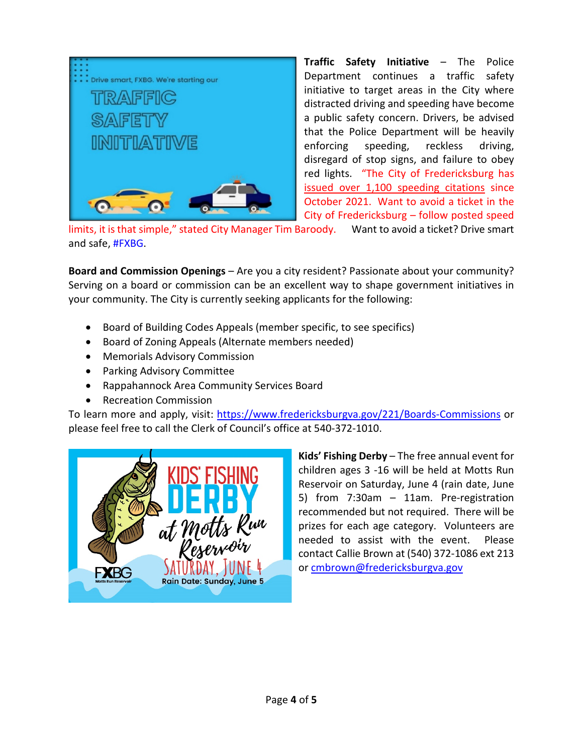

**Traffic Safety Initiative** – The Police Department continues a traffic safety initiative to target areas in the City where distracted driving and speeding have become a public safety concern. Drivers, be advised that the Police Department will be heavily enforcing speeding, reckless driving, disregard of stop signs, and failure to obey red lights. "The City of Fredericksburg has issued over 1,100 speeding citations since October 2021. Want to avoid a ticket in the City of Fredericksburg – follow posted speed

limits, it is that simple," stated City Manager Tim Baroody. Want to avoid a ticket? Drive smart and safe, [#FXBG.](https://www.facebook.com/hashtag/fxbg?__eep__=6&__cft__%5b0%5d=AZWMm412bROIAlbQjxD2trcL3Q6v8XYnqGiab-pzxHyZlK2AO3wgxGBRUI7RVwNBLZmZ2AFcmkMI1noIapNQk5FV0YxTW81lYx9j2ZUaF9IJx3uquxKREP9bHkNftL_yP_oJd-S6PtYkPbEURGNVAWGUif-leaDtL7Fd9G0WEMmZNw&__tn__=*NK-R)

**Board and Commission Openings** – Are you a city resident? Passionate about your community? Serving on a board or commission can be an excellent way to shape government initiatives in your community. The City is currently seeking applicants for the following:

- Board of Building Codes Appeals (member specific, to see specifics)
- Board of Zoning Appeals (Alternate members needed)
- Memorials Advisory Commission
- Parking Advisory Committee
- Rappahannock Area Community Services Board
- Recreation Commission

To learn more and apply, visit: [https://www.fredericksburgva.gov/221/Boards-Commissions](https://www.fredericksburgva.gov/221/Boards-Commissions?fbclid=IwAR3Swf9IZu1tYdO_SK6yHxjMXxdd4Ba6LVkEpP0zTgegU6_SRsXEh2JIYGY) or please feel free to call the Clerk of Council's office at 540-372-1010.



**Kids' Fishing Derby** – The free annual event for children ages 3 -16 will be held at Motts Run Reservoir on Saturday, June 4 (rain date, June 5) from 7:30am – 11am. Pre-registration recommended but not required. There will be prizes for each age category. Volunteers are needed to assist with the event. Please contact Callie Brown at (540) 372-1086 ext 213 o[r cmbrown@fredericksburgva.gov](mailto:cmbrown@fredericksburgva.gov)